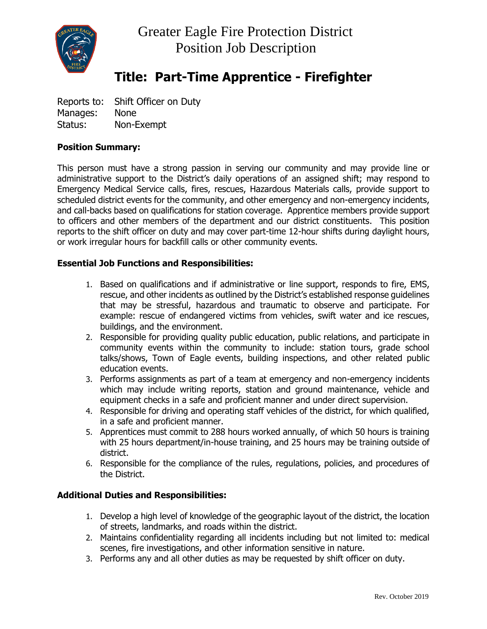

# **Title: Part-Time Apprentice - Firefighter**

Reports to: Shift Officer on Duty Manages: None Status: Non-Exempt

## **Position Summary:**

This person must have a strong passion in serving our community and may provide line or administrative support to the District's daily operations of an assigned shift; may respond to Emergency Medical Service calls, fires, rescues, Hazardous Materials calls, provide support to scheduled district events for the community, and other emergency and non-emergency incidents, and call-backs based on qualifications for station coverage. Apprentice members provide support to officers and other members of the department and our district constituents. This position reports to the shift officer on duty and may cover part-time 12-hour shifts during daylight hours, or work irregular hours for backfill calls or other community events.

## **Essential Job Functions and Responsibilities:**

- 1. Based on qualifications and if administrative or line support, responds to fire, EMS, rescue, and other incidents as outlined by the District's established response guidelines that may be stressful, hazardous and traumatic to observe and participate. For example: rescue of endangered victims from vehicles, swift water and ice rescues, buildings, and the environment.
- 2. Responsible for providing quality public education, public relations, and participate in community events within the community to include: station tours, grade school talks/shows, Town of Eagle events, building inspections, and other related public education events.
- 3. Performs assignments as part of a team at emergency and non-emergency incidents which may include writing reports, station and ground maintenance, vehicle and equipment checks in a safe and proficient manner and under direct supervision.
- 4. Responsible for driving and operating staff vehicles of the district, for which qualified, in a safe and proficient manner.
- 5. Apprentices must commit to 288 hours worked annually, of which 50 hours is training with 25 hours department/in-house training, and 25 hours may be training outside of district.
- 6. Responsible for the compliance of the rules, regulations, policies, and procedures of the District.

## **Additional Duties and Responsibilities:**

- 1. Develop a high level of knowledge of the geographic layout of the district, the location of streets, landmarks, and roads within the district.
- 2. Maintains confidentiality regarding all incidents including but not limited to: medical scenes, fire investigations, and other information sensitive in nature.
- 3. Performs any and all other duties as may be requested by shift officer on duty.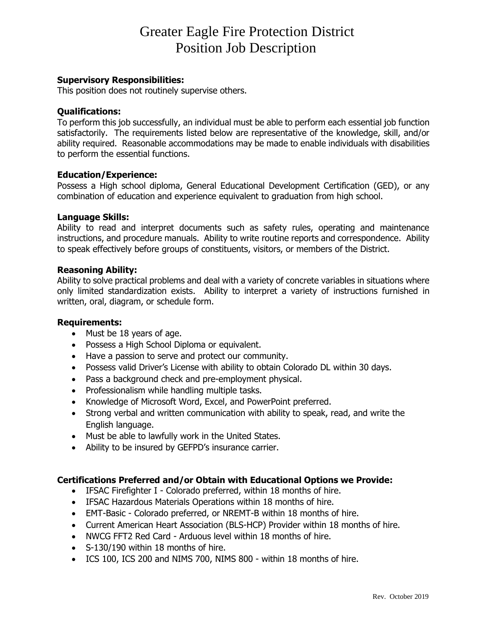## Greater Eagle Fire Protection District Position Job Description

### **Supervisory Responsibilities:**

This position does not routinely supervise others.

#### **Qualifications:**

To perform this job successfully, an individual must be able to perform each essential job function satisfactorily. The requirements listed below are representative of the knowledge, skill, and/or ability required. Reasonable accommodations may be made to enable individuals with disabilities to perform the essential functions.

### **Education/Experience:**

Possess a High school diploma, General Educational Development Certification (GED), or any combination of education and experience equivalent to graduation from high school.

#### **Language Skills:**

Ability to read and interpret documents such as safety rules, operating and maintenance instructions, and procedure manuals. Ability to write routine reports and correspondence. Ability to speak effectively before groups of constituents, visitors, or members of the District.

#### **Reasoning Ability:**

Ability to solve practical problems and deal with a variety of concrete variables in situations where only limited standardization exists. Ability to interpret a variety of instructions furnished in written, oral, diagram, or schedule form.

#### **Requirements:**

- Must be 18 years of age.
- Possess a High School Diploma or equivalent.
- Have a passion to serve and protect our community.
- Possess valid Driver's License with ability to obtain Colorado DL within 30 days.
- Pass a background check and pre-employment physical.
- Professionalism while handling multiple tasks.
- Knowledge of Microsoft Word, Excel, and PowerPoint preferred.
- Strong verbal and written communication with ability to speak, read, and write the English language.
- Must be able to lawfully work in the United States.
- Ability to be insured by GEFPD's insurance carrier.

#### **Certifications Preferred and/or Obtain with Educational Options we Provide:**

- IFSAC Firefighter I Colorado preferred, within 18 months of hire.
- IFSAC Hazardous Materials Operations within 18 months of hire.
- EMT-Basic Colorado preferred, or NREMT-B within 18 months of hire.
- Current American Heart Association (BLS-HCP) Provider within 18 months of hire.
- NWCG FFT2 Red Card Arduous level within 18 months of hire.
- S-130/190 within 18 months of hire.
- ICS 100, ICS 200 and NIMS 700, NIMS 800 within 18 months of hire.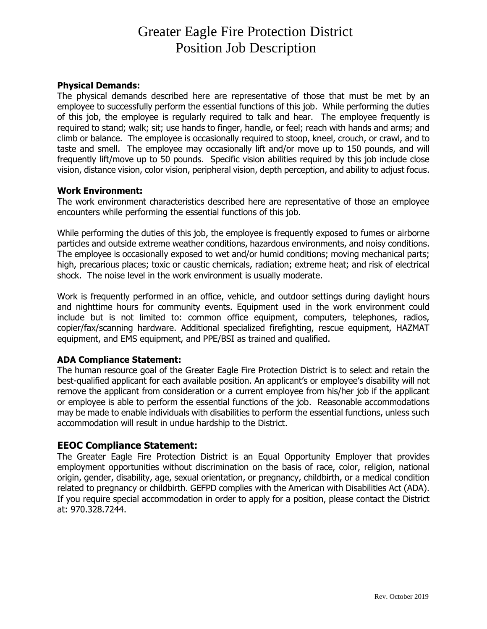## Greater Eagle Fire Protection District Position Job Description

## **Physical Demands:**

The physical demands described here are representative of those that must be met by an employee to successfully perform the essential functions of this job. While performing the duties of this job, the employee is regularly required to talk and hear. The employee frequently is required to stand; walk; sit; use hands to finger, handle, or feel; reach with hands and arms; and climb or balance. The employee is occasionally required to stoop, kneel, crouch, or crawl, and to taste and smell. The employee may occasionally lift and/or move up to 150 pounds, and will frequently lift/move up to 50 pounds. Specific vision abilities required by this job include close vision, distance vision, color vision, peripheral vision, depth perception, and ability to adjust focus.

## **Work Environment:**

The work environment characteristics described here are representative of those an employee encounters while performing the essential functions of this job.

While performing the duties of this job, the employee is frequently exposed to fumes or airborne particles and outside extreme weather conditions, hazardous environments, and noisy conditions. The employee is occasionally exposed to wet and/or humid conditions; moving mechanical parts; high, precarious places; toxic or caustic chemicals, radiation; extreme heat; and risk of electrical shock. The noise level in the work environment is usually moderate.

Work is frequently performed in an office, vehicle, and outdoor settings during daylight hours and nighttime hours for community events. Equipment used in the work environment could include but is not limited to: common office equipment, computers, telephones, radios, copier/fax/scanning hardware. Additional specialized firefighting, rescue equipment, HAZMAT equipment, and EMS equipment, and PPE/BSI as trained and qualified.

## **ADA Compliance Statement:**

The human resource goal of the Greater Eagle Fire Protection District is to select and retain the best-qualified applicant for each available position. An applicant's or employee's disability will not remove the applicant from consideration or a current employee from his/her job if the applicant or employee is able to perform the essential functions of the job. Reasonable accommodations may be made to enable individuals with disabilities to perform the essential functions, unless such accommodation will result in undue hardship to the District.

## **EEOC Compliance Statement:**

The Greater Eagle Fire Protection District is an Equal Opportunity Employer that provides employment opportunities without discrimination on the basis of race, color, religion, national origin, gender, disability, age, sexual orientation, or pregnancy, childbirth, or a medical condition related to pregnancy or childbirth. GEFPD complies with the American with Disabilities Act (ADA). If you require special accommodation in order to apply for a position, please contact the District at: 970.328.7244.